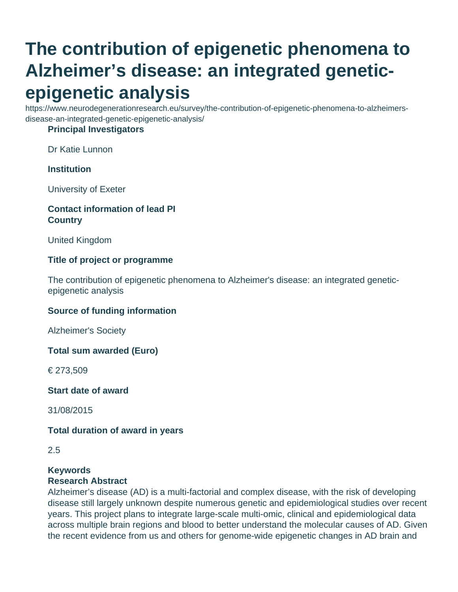# **The contribution of epigenetic phenomena to Alzheimer's disease: an integrated geneticepigenetic analysis**

https://www.neurodegenerationresearch.eu/survey/the-contribution-of-epigenetic-phenomena-to-alzheimersdisease-an-integrated-genetic-epigenetic-analysis/

### **Principal Investigators**

Dr Katie Lunnon

### **Institution**

University of Exeter

### **Contact information of lead PI Country**

United Kingdom

#### **Title of project or programme**

The contribution of epigenetic phenomena to Alzheimer's disease: an integrated geneticepigenetic analysis

#### **Source of funding information**

Alzheimer's Society

**Total sum awarded (Euro)**

€ 273,509

**Start date of award**

31/08/2015

#### **Total duration of award in years**

#### **Keywords**

#### **Research Abstract**

Alzheimer's disease (AD) is a multi-factorial and complex disease, with the risk of developing disease still largely unknown despite numerous genetic and epidemiological studies over recent years. This project plans to integrate large-scale multi-omic, clinical and epidemiological data across multiple brain regions and blood to better understand the molecular causes of AD. Given the recent evidence from us and others for genome-wide epigenetic changes in AD brain and

<sup>2.5</sup>